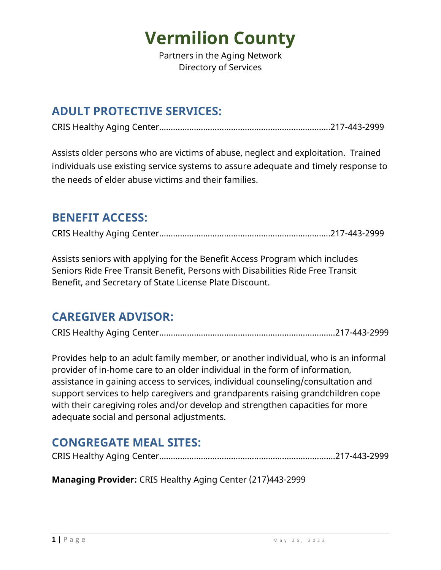Partners in the Aging Network Directory of Services

### **ADULT PROTECTIVE SERVICES:**

CRIS Healthy Aging Center...…………………....……………………………….……...217-443-2999

Assists older persons who are victims of abuse, neglect and exploitation. Trained individuals use existing service systems to assure adequate and timely response to the needs of elder abuse victims and their families.

#### **BENEFIT ACCESS:**

CRIS Healthy Aging Center...…………………....……………………………….……...217-443-2999

Assists seniors with applying for the Benefit Access Program which includes Seniors Ride Free Transit Benefit, Persons with Disabilities Ride Free Transit Benefit, and Secretary of State License Plate Discount.

#### **CAREGIVER ADVISOR:**

CRIS Healthy Aging Center...…………………....……………………………….…..…...217-443-2999

Provides help to an adult family member, or another individual, who is an informal provider of in-home care to an older individual in the form of information, assistance in gaining access to services, individual counseling/consultation and support services to help caregivers and grandparents raising grandchildren cope with their caregiving roles and/or develop and strengthen capacities for more adequate social and personal adjustments.

### **CONGREGATE MEAL SITES:**

|--|--|--|

**Managing Provider:** CRIS Healthy Aging Center (217)443-2999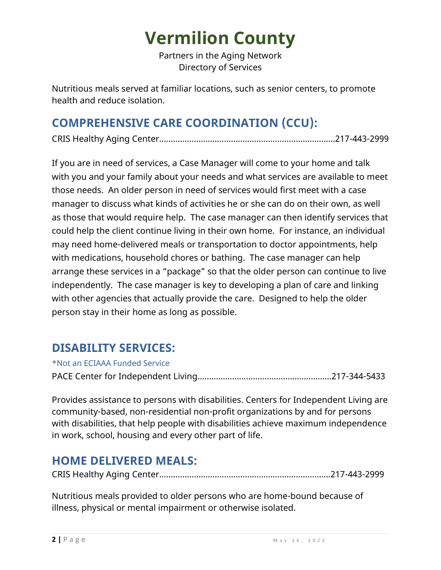Partners in the Aging Network Directory of Services

Nutritious meals served at familiar locations, such as senior centers, to promote health and reduce isolation.

### **COMPREHENSIVE CARE COORDINATION (CCU):**

CRIS Healthy Aging Center...…………………....……………………………….…..…...217-443-2999

If you are in need of services, a Case Manager will come to your home and talk with you and your family about your needs and what services are available to meet those needs. An older person in need of services would first meet with a case manager to discuss what kinds of activities he or she can do on their own, as well as those that would require help. The case manager can then identify services that could help the client continue living in their own home. For instance, an individual may need home-delivered meals or transportation to doctor appointments, help with medications, household chores or bathing. The case manager can help arrange these services in a "package" so that the older person can continue to live independently. The case manager is key to developing a plan of care and linking with other agencies that actually provide the care. Designed to help the older person stay in their home as long as possible.

### **DISABILITY SERVICES:**

\*Not an ECIAAA Funded Service

PACE Center for Independent Living………………………………………………….217-344-5433

Provides assistance to persons with disabilities. Centers for Independent Living are community-based, non-residential non-profit organizations by and for persons with disabilities, that help people with disabilities achieve maximum independence in work, school, housing and every other part of life.

### **HOME DELIVERED MEALS:**

CRIS Healthy Aging Center...…………………....……………………………….……...217-443-2999

Nutritious meals provided to older persons who are home-bound because of illness, physical or mental impairment or otherwise isolated.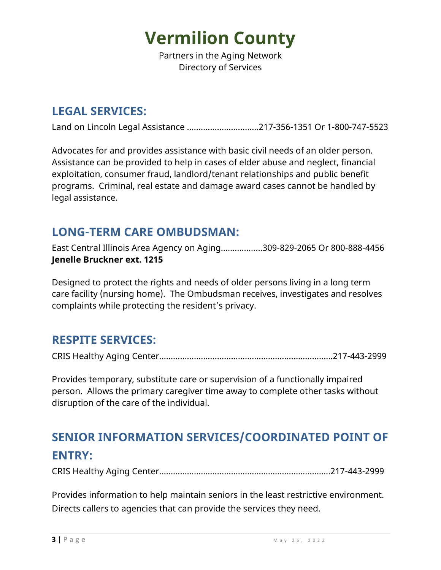Partners in the Aging Network Directory of Services

#### **LEGAL SERVICES:**

Land on Lincoln Legal Assistance ………………………....217-356-1351 Or 1-800-747-5523

Advocates for and provides assistance with basic civil needs of an older person. Assistance can be provided to help in cases of elder abuse and neglect, financial exploitation, consumer fraud, landlord/tenant relationships and public benefit programs. Criminal, real estate and damage award cases cannot be handled by legal assistance.

#### **LONG-TERM CARE OMBUDSMAN:**

East Central Illinois Area Agency on Aging……………...309-829-2065 Or 800-888-4456 **Jenelle Bruckner ext. 1215**

Designed to protect the rights and needs of older persons living in a long term care facility (nursing home). The Ombudsman receives, investigates and resolves complaints while protecting the resident's privacy.

#### **RESPITE SERVICES:**

CRIS Healthy Aging Center...…………………....……………………………….….…...217-443-2999

Provides temporary, substitute care or supervision of a functionally impaired person. Allows the primary caregiver time away to complete other tasks without disruption of the care of the individual.

## **SENIOR INFORMATION SERVICES/COORDINATED POINT OF ENTRY:**

CRIS Healthy Aging Center...…………………....……………………………….……...217-443-2999

Provides information to help maintain seniors in the least restrictive environment. Directs callers to agencies that can provide the services they need.